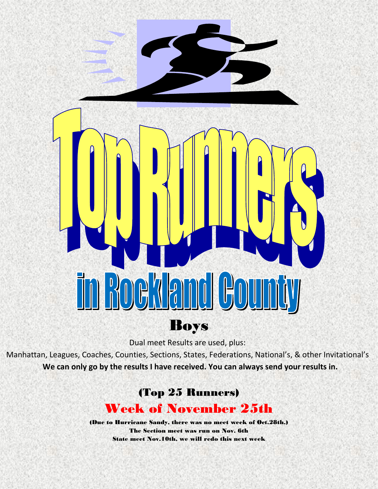

Dual meet Results are used, plus:

Manhattan, Leagues, Coaches, Counties, Sections, States, Federations, National's, & other Invitational's **We can only go by the results I have received. You can always send your results in.**

## (Top 25 Runners)

## Week of November 25th

(Due to Hurricane Sandy, there was no meet week of Oct.28th.) The Section meet was run on Nov. 6th State meet Nov.10th, we will redo this next week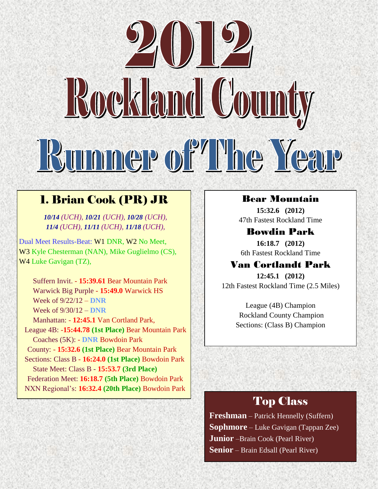# Rockland County Runner of The Year

## 1. Brian Cook (PR) JR

*10/14 (UCH), 10/21 (UCH), 10/28 (UCH), 11/4 (UCH), 11/11 (UCH), 11/18 (UCH),*

Dual Meet Results-Beat: W1 DNR, W2 No Meet, W3 Kyle Chesterman (NAN), Mike Guglielmo (CS), W4 Luke Gavigan (TZ),

 Suffern Invit. - **15:39.61** Bear Mountain Park Warwick Big Purple - **15:49.0** Warwick HS Week of 9/22/12 – **DNR** Week of 9/30/12 – **DNR**

Manhattan: - **12:45.1** Van Cortland Park,

League 4B: -**15:44.78 (1st Place)** Bear Mountain Park Coaches (5K): - **DNR** Bowdoin Park

County: - **15:32.6 (1st Place)** Bear Mountain Park

Sections: Class B - **16:24.0 (1st Place)** Bowdoin Park State Meet: Class B - **15:53.7 (3rd Place)** Federation Meet: **16:18.7 (5th Place)** Bowdoin Park NXN Regional's: **16:32.4 (20th Place)** Bowdoin Park

#### Bear Mountain

**15:32.6 (2012)** 47th Fastest Rockland Time

Bowdin Park **16:18.7 (2012)** 6th Fastest Rockland Time

#### Van Cortlandt Park

**12:45.1 (2012)** 12th Fastest Rockland Time (2.5 Miles)

> League (4B) Champion Rockland County Champion Sections: (Class B) Champion

## Top Class

**Freshman** – Patrick Hennelly (Suffern) **Sophmore** – Luke Gavigan (Tappan Zee) **Junior** –Brain Cook (Pearl River) **Senior** – Brain Edsall (Pearl River)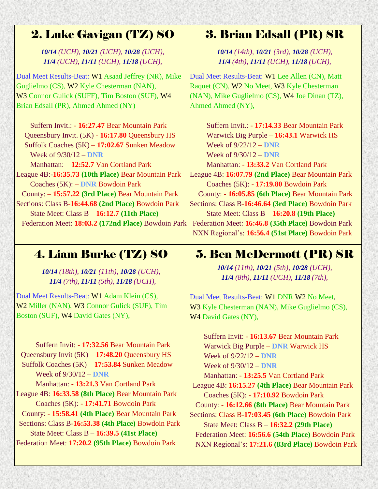## 2. Luke Gavigan (TZ) SO

#### *10/14 (UCH), 10/21 (UCH), 10/28 (UCH), 11/4 (UCH), 11/11 (UCH), 11/18 (UCH),*

Dual Meet Results-Beat: W1 Asaad Jeffrey (NR), Mike Guglielmo (CS), W2 Kyle Chesterman (NAN), W3 Connor Gulick (SUFF), Tim Boston (SUF), W4 Brian Edsall (PR), Ahmed Ahmed (NY)

Suffern Invit.: - **16:27.47** Bear Mountain Park Queensbury Invit. (5K) - **16:17.80** Queensbury HS Suffolk Coaches (5K) – **17:02.67** Sunken Meadow Week of 9/30/12 – **DNR** Manhattan: – **12:52.7** Van Cortland Park League 4B:-**16:35.73 (10th Place)** Bear Mountain Park Coaches (5K): – **DNR** Bowdoin Park County: – **15:57.22 (3rd Place)** Bear Mountain Park Sections: Class B-**16:44.68 (2nd Place)** Bowdoin Park State Meet: Class B – **16:12.7 (11th Place)** Federation Meet: **18:03.2 (172nd Place)** Bowdoin Park

## 3. Brian Edsall (PR) SR

*10/14 (14th), 10/21 (3rd), 10/28 (UCH), 11/4 (4th), 11/11 (UCH), 11/18 (UCH),*

Dual Meet Results-Beat: W1 Lee Allen (CN), Matt Raquet (CN), W2 No Meet, W3 Kyle Chesterman (NAN), Mike Guglielmo (CS), W4 Joe Dinan (TZ), Ahmed Ahmed (NY),

Suffern Invit.: - **17:14.33** Bear Mountain Park Warwick Big Purple – **16:43.1** Warwick HS Week of 9/22/12 – **DNR** Week of 9/30/12 – **DNR** Manhattan: - **13:33.2** Van Cortland Park League 4B: **16:07.79 (2nd Place)** Bear Mountain Park Coaches (5K): - **17:19.80** Bowdoin Park County: - **16:05.85 (6th Place)** Bear Mountain Park Sections: Class B-**16:46.64 (3rd Place)** Bowdoin Park State Meet: Class B – **16:20.8 (19th Place)** Federation Meet: **16:46.8 (35th Place)** Bowdoin Park NXN Regional's: **16:56.4 (51st Place)** Bowdoin Park

## 4. Liam Burke (TZ) SO

*10/14 (18th), 10/21 (11th), 10/28 (UCH), 11/4 (7th), 11/11 (5th), 11/18 (UCH),*

Dual Meet Results-Beat: W1 Adam Klein (CS), W2 Miller (NAN), W3 Connor Gulick (SUF), Tim Boston (SUF), W4 David Gates (NY),

Suffern Invit: - **17:32.56** Bear Mountain Park Queensbury Invit (5K) – **17:48.20** Queensbury HS Suffolk Coaches (5K) – **17:53.84** Sunken Meadow Week of 9/30/12 – **DNR** Manhattan: - **13:21.3** Van Cortland Park League 4B: **16:33.58 (8th Place)** Bear Mountain Park Coaches (5K): - **17:41.71** Bowdoin Park County: - **15:58.41 (4th Place)** Bear Mountain Park Sections: Class B-**16:53.38 (4th Place)** Bowdoin Park State Meet: Class B – **16:39.5 (41st Place)** Federation Meet: **17:20.2 (95th Place)** Bowdoin Park

## 5. Ben McDermott (PR) SR

*10/14 (11th), 10/21 (5th), 10/28 (UCH), 11/4 (8th), 11/11 (UCH), 11/18 (7th),*

Dual Meet Results-Beat: W1 DNR W2 No Meet, W<sub>3</sub> Kyle Chesterman (NAN), Mike Guglielmo (CS), W<sub>4</sub> David Gates (NY),

Suffern Invit: - **16:13.67** Bear Mountain Park Warwick Big Purple – **DNR** Warwick HS Week of 9/22/12 – **DNR** Week of 9/30/12 – **DNR** Manhattan: - **13:25.5** Van Cortland Park League 4B: **16:15.27 (4th Place)** Bear Mountain Park Coaches (5K): - **17:10.92** Bowdoin Park County: - **16:12.66 (8th Place)** Bear Mountain Park Sections: Class B-**17:03.45 (6th Place)** Bowdoin Park State Meet: Class B – **16:32.2 (29th Place)** Federation Meet: **16:56.6 (54th Place)** Bowdoin Park NXN Regional's: **17:21.6 (83rd Place)** Bowdoin Park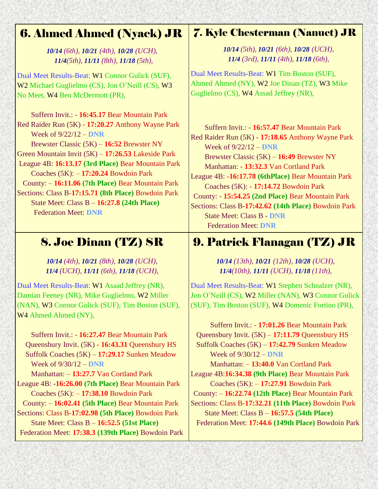## 6. Ahmed Ahmed (Nyack) JR

*10/14 (6th), 10/21 (4th), 10/28 (UCH), 11/4(5th), 11/11 (8th), 11/18 (5th),*

Dual Meet Results-Beat: W1 Connor Gulick (SUF), W2 Michael Guglielmo (CS), Jon O'Neill (CS), W3 No Meet, W4 Ben McDermott (PR),

Suffern Invit.: - **16:45.17** Bear Mountain Park Red Raider Run (5K) - **17:20.27** Anthony Wayne Park Week of 9/22/12 – **DNR** Brewster Classic (5K) – **16:52** Brewster NY Green Mountain Invit (5K) – **17:26.53** Lakeside Park League 4B: **16:13.17 (3rd Place)** Bear Mountain Park Coaches (5K): – **17:20.24** Bowdoin Park County: – **16:11.06 (7th Place)** Bear Mountain Park Sections: Class B-**17:15.71 (8th Place)** Bowdoin Park State Meet: Class B – **16:27.8 (24th Place)** Federation Meet: **DNR**

## 8. Joe Dinan (TZ) SR

*10/14 (4th), 10/21 (8th), 10/28 (UCH), 11/4 (UCH), 11/11 (6th), 11/18 (UCH),*

Dual Meet Results-Beat: W1 Asaad Jeffrey (NR), Damian Feeney (NR), Mike Guglielmo, W2 Miller (NAN), W3 Connor Gulick (SUF), Tim Boston (SUF), W4 Ahmed Ahmed (NY),

Suffern Invit.: - **16:27.47** Bear Mountain Park Queensbury Invit. (5K) - **16:43.31** Queensbury HS Suffolk Coaches (5K) – **17:29.17** Sunken Meadow Week of 9/30/12 – **DNR** Manhattan: – **13:27.7** Van Cortland Park League 4B: -**16:26.00 (7th Place)** Bear Mountain Park Coaches (5K): – **17:38.10** Bowdoin Park County: – **16:02.41 (5th Place)** Bear Mountain Park Sections: Class B-**17:02.98 (5th Place)** Bowdoin Park State Meet: Class B – **16:52.5 (51st Place)** Federation Meet: **17:38.3 (139th Place)** Bowdoin Park

## 7. Kyle Chesterman (Nanuet) JR

*10/14 (5th), 10/21 (6th), 10/28 (UCH), 11/4 (3rd), 11/11 (4th), 11/18 (6th),*

Dual Meet Results-Beat: W1 Tim Boston (SUF), Ahmed Ahmed (NY), W2 Joe Dinan (TZ), W3 Mike Guglielmo (CS), W4 Assad Jeffrey (NR),

Suffern Invit.: - **16:57.47** Bear Mountain Park Red Raider Run (5K) - **17:18.65** Anthony Wayne Park Week of 9/22/12 – **DNR** Brewster Classic (5K) – **16:49** Brewster NY Manhattan: - **13:32.3** Van Cortland Park League 4B: -**16:17.78 (6thPlace)** Bear Mountain Park Coaches (5K): - **17:14.72** Bowdoin Park County: - **15:54.25 (2nd Place)** Bear Mountain Park Sections: Class B-**17:42.62 (14th Place)** Bowdoin Park State Meet: Class B - **DNR** Federation Meet: **DNR**

## 9. Patrick Flanagan (TZ) JR

*10/14 (13th), 10/21 (12th), 10/28 (UCH), 11/4(10th), 11/11 (UCH), 11/18 (11th),*

Dual Meet Results-Beat: W1 Stephen Schnalzer (NR), Jon O'Neill (CS), W2 Miller (NAN), W3 Connor Gulick (SUF), Tim Boston (SUF), W4 Domenic Fortino (PR),

Suffern Invit.: - **17:01.26** Bear Mountain Park Queensbury Invit. (5K) – **17:11.79** Queensbury HS Suffolk Coaches (5K) – **17:42.79** Sunken Meadow Week of 9/30/12 – **DNR** Manhattan: – **13:40.0** Van Cortland Park League 4B:**16:34.38 (9th Place)** Bear Mountain Park Coaches (5K): – **17:27.91** Bowdoin Park County: – **16:22.74 (12th Place)** Bear Mountain Park Sections: Class B-**17:32.21 (11th Place)** Bowdoin Park State Meet: Class B – **16:57.5 (54th Place)** Federation Meet: **17:44.6 (149th Place)** Bowdoin Park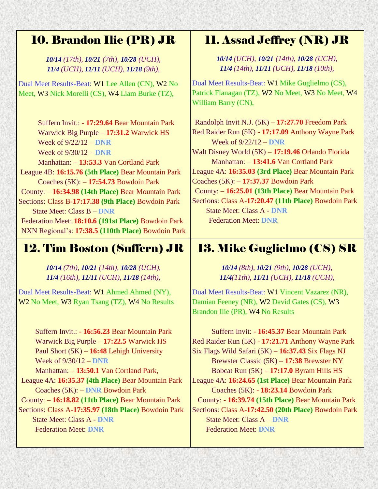## 10. Brandon Ilie (PR) JR

*10/14 (17th), 10/21 (7th), 10/28 (UCH), 11/4 (UCH), 11/11 (UCH), 11/18 (9th),*

Dual Meet Results-Beat: W1 Lee Allen (CN), W2 No Meet, W3 Nick Morelli (CS), W4 Liam Burke (TZ),

Suffern Invit.: - **17:29.64** Bear Mountain Park Warwick Big Purple – **17:31.2** Warwick HS Week of 9/22/12 – **DNR** Week of 9/30/12 – **DNR** Manhattan: – **13:53.3** Van Cortland Park League 4B: **16:15.76 (5th Place)** Bear Mountain Park Coaches (5K): – **17:54.73** Bowdoin Park County: – **16:34.98 (14th Place)** Bear Mountain Park Sections: Class B-**17:17.38 (9th Place)** Bowdoin Park State Meet: Class B – **DNR** Federation Meet: **18:10.6 (191st Place)** Bowdoin Park NXN Regional's: **17:38.5 (110th Place)** Bowdoin Park

## 12. Tim Boston (Suffern) JR

*10/14 (7th), 10/21 (14th), 10/28 (UCH), 11/4 (16th), 11/11 (UCH), 11/18 (14th),*

Dual Meet Results-Beat: W1 Ahmed Ahmed (NY), W<sub>2</sub> No Meet, W<sub>3</sub> Ryan Tsang (TZ), W<sub>4</sub> No Results

> Suffern Invit.: - **16:56.23** Bear Mountain Park Warwick Big Purple – **17:22.5** Warwick HS Paul Short (5K) – **16:48** Lehigh University Week of 9/30/12 – **DNR**

Manhattan: – **13:50.1** Van Cortland Park, League 4A: **16:35.37 (4th Place)** Bear Mountain Park Coaches (5K): – **DNR** Bowdoin Park County: – **16:18.82 (11th Place)** Bear Mountain Park Sections: Class A-**17:35.97 (18th Place)** Bowdoin Park

State Meet: Class A - **DNR** Federation Meet: **DNR**

## 11. Assad Jeffrey (NR) JR

*10/14 (UCH), 10/21 (14th), 10/28 (UCH), 11/4 (14th), 11/11 (UCH), 11/18 (10th),*

Dual Meet Results-Beat: W1 Mike Guglielmo (CS), Patrick Flanagan (TZ), W2 No Meet, W3 No Meet, W4 William Barry (CN),

Randolph Invit N.J. (5K) – **17:27.70** Freedom Park Red Raider Run (5K) - **17:17.09** Anthony Wayne Park Week of 9/22/12 – **DNR** Walt Disney World (5K) – **17:19.46** Orlando Florida Manhattan: – **13:41.6** Van Cortland Park League 4A: **16:35.03 (3rd Place)** Bear Mountain Park Coaches (5K): – **17:37.37** Bowdoin Park County: – **16:25.01 (13th Place)** Bear Mountain Park Sections: Class A-**17:20.47 (11th Place)** Bowdoin Park State Meet: Class A - **DNR** Federation Meet: **DNR**

## 13. Mike Guglielmo (CS) SR

#### *10/14 (8th), 10/21 (9th), 10/28 (UCH), 11/4(11th), 11/11 (UCH), 11/18 (UCH),*

Dual Meet Results-Beat: W1 Vincent Vazarez (NR), Damian Feeney (NR), W2 David Gates (CS), W3 Brandon Ilie (PR), W4 No Results

Suffern Invit: - **16:45.37** Bear Mountain Park Red Raider Run (5K) - **17:21.71** Anthony Wayne Park Six Flags Wild Safari (5K) – **16:37.43** Six Flags NJ Brewster Classic (5K) – **17:38** Brewster NY Bobcat Run (5K) – **17:17.0** Byram Hills HS League 4A: **16:24.65 (1st Place)** Bear Mountain Park Coaches (5K): - **18:23.14** Bowdoin Park County: - **16:39.74 (15th Place)** Bear Mountain Park Sections: Class A-**17:42.50 (20th Place)** Bowdoin Park State Meet: Class A – **DNR** Federation Meet: **DNR**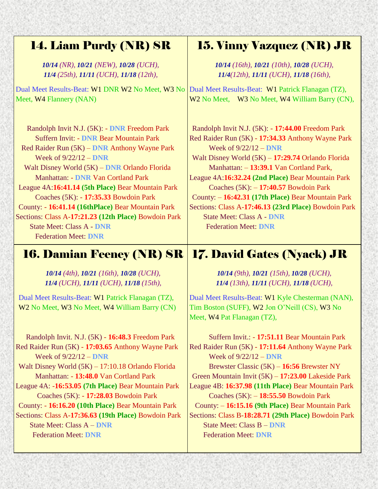## 14. Liam Purdy (NR) SR

*10/14 (NR), 10/21 (NEW), 10/28 (UCH), 11/4 (25th), 11/11 (UCH), 11/18 (12th),*

Dual Meet Results-Beat: W1 DNR W2 No Meet, W3 No Meet, W4 Flannery (NAN)

Randolph Invit N.J. (5K): - **DNR** Freedom Park Suffern Invit: - **DNR** Bear Mountain Park Red Raider Run (5K) – **DNR** Anthony Wayne Park Week of 9/22/12 – **DNR** Walt Disney World (5K) – **DNR** Orlando Florida Manhattan: - **DNR** Van Cortland Park League 4A:**16:41.14 (5th Place)** Bear Mountain Park Coaches (5K): - **17:35.33** Bowdoin Park County: - **16:41.14 (16thPlace)** Bear Mountain Park Sections: Class A-**17:21.23 (12th Place)** Bowdoin Park State Meet: Class A - **DNR** Federation Meet: **DNR**

## 16. Damian Feeney (NR) SR

*10/14 (4th), 10/21 (16th), 10/28 (UCH), 11/4 (UCH), 11/11 (UCH), 11/18 (15th),*

Dual Meet Results-Beat: W1 Patrick Flanagan (TZ), W2 No Meet, W3 No Meet, W4 William Barry (CN)

 Randolph Invit. N.J. (5K) - **16:48.3** Freedom Park Red Raider Run (5K) - **17:03.65** Anthony Wayne Park Week of 9/22/12 – **DNR** Walt Disney World (5K) – 17:10.18 Orlando Florida Manhattan: - **13:48.0** Van Cortland Park League 4A: -**16:53.05 (7th Place)** Bear Mountain Park Coaches (5K): - **17:28.03** Bowdoin Park County: - **16:16.20 (10th Place)** Bear Mountain Park Sections: Class A-**17:36.63 (19th Place)** Bowdoin Park State Meet: Class A – **DNR** Federation Meet: **DNR**

## 15. Vinny Vazquez (NR) JR

*10/14 (16th), 10/21 (10th), 10/28 (UCH), 11/4(12th), 11/11 (UCH), 11/18 (16th),*

Dual Meet Results-Beat: W1 Patrick Flanagan (TZ), W<sub>2</sub> No Meet, W<sub>3</sub> No Meet, W<sub>4</sub> William Barry (CN),

Randolph Invit N.J. (5K): - **17:44.00** Freedom Park Red Raider Run (5K) - **17:34.33** Anthony Wayne Park Week of 9/22/12 – **DNR** Walt Disney World (5K) – **17:29.74** Orlando Florida Manhattan: – **13:39.1** Van Cortland Park, League 4A:**16:32.24 (2nd Place)** Bear Mountain Park Coaches (5K): – **17:40.57** Bowdoin Park County: – **16:42.31 (17th Place)** Bear Mountain Park Sections: Class A-**17:46.13 (23rd Place)** Bowdoin Park State Meet: Class A - **DNR** Federation Meet: **DNR**

## 17. David Gates (Nyack) JR

*10/14 (9th), 10/21 (15th), 10/28 (UCH), 11/4 (13th), 11/11 (UCH), 11/18 (UCH),*

Dual Meet Results-Beat: W1 Kyle Chesterman (NAN), Tim Boston (SUFF), W2 Jon O'Neill (CS), W3 No Meet, W4 Pat Flanagan (TZ),

Suffern Invit.: - **17:51.11** Bear Mountain Park Red Raider Run (5K) - **17:11.64** Anthony Wayne Park Week of 9/22/12 – **DNR** Brewster Classic (5K) – **16:56** Brewster NY Green Mountain Invit (5K) – **17:23.00** Lakeside Park League 4B: **16:37.98 (11th Place)** Bear Mountain Park Coaches (5K): – **18:55.50** Bowdoin Park County: – **16:15.16 (9th Place)** Bear Mountain Park Sections: Class B-**18:28.71 (29th Place)** Bowdoin Park State Meet: Class B – **DNR** Federation Meet: **DNR**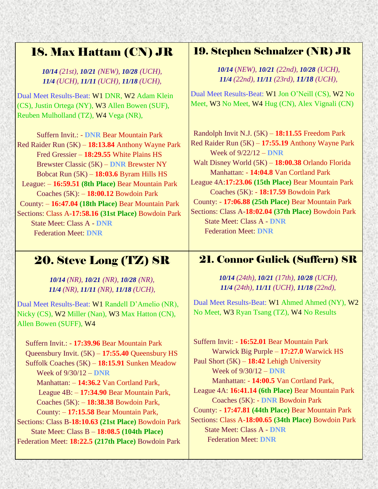## 18. Max Hattam (CN) JR

*10/14 (21st), 10/21 (NEW), 10/28 (UCH), 11/4 (UCH), 11/11 (UCH), 11/18 (UCH),*

Dual Meet Results-Beat: W1 DNR, W2 Adam Klein (CS), Justin Ortega (NY), W3 Allen Bowen (SUF), Reuben Mulholland (TZ), W4 Vega (NR),

Suffern Invit.: - **DNR** Bear Mountain Park Red Raider Run (5K) – **18:13.84** Anthony Wayne Park Fred Gressier – **18:29.55** White Plains HS Brewster Classic (5K) – **DNR** Brewster NY Bobcat Run (5K) – **18:03.6** Byram Hills HS League: – **16:59.51 (8th Place)** Bear Mountain Park Coaches (5K): – **18:00.12** Bowdoin Park County: – **16:47.04 (18th Place)** Bear Mountain Park Sections: Class A-**17:58.16 (31st Place)** Bowdoin Park State Meet: Class A - **DNR** Federation Meet: **DNR**

## 20. Steve Long (TZ) SR

*10/14 (NR), 10/21 (NR), 10/28 (NR), 11/4 (NR), 11/11 (NR), 11/18 (UCH),*

Dual Meet Results-Beat: W1 Randell D'Amelio (NR), Nicky (CS), W2 Miller (Nan), W3 Max Hatton (CN), Allen Bowen (SUFF), W4

Suffern Invit.: - **17:39.96** Bear Mountain Park Queensbury Invit. (5K) – **17:55.40** Queensbury HS Suffolk Coaches (5K) – **18:15.91** Sunken Meadow Week of 9/30/12 – **DNR** Manhattan: – **14:36.2** Van Cortland Park, League 4B: – **17:34.90** Bear Mountain Park, Coaches (5K): – **18:38.38** Bowdoin Park, County: – **17:15.58** Bear Mountain Park, Sections: Class B-**18:10.63 (21st Place)** Bowdoin Park State Meet: Class B – **18:08.5 (104th Place)**

Federation Meet: **18:22.5 (217th Place)** Bowdoin Park

#### 19. Stephen Schnalzer (NR) JR

*10/14* (*NEW), 10/21 (22nd), 10/28 (UCH), 11/4 (22nd), 11/11 (23rd), 11/18 (UCH),*

Dual Meet Results-Beat: W1 Jon O'Neill (CS), W2 No Meet, W3 No Meet, W4 Hug (CN), Alex Vignali (CN)

Randolph Invit N.J. (5K) – **18:11.55** Freedom Park Red Raider Run (5K) – **17:55.19** Anthony Wayne Park Week of 9/22/12 – **DNR** Walt Disney World (5K) – **18:00.38** Orlando Florida Manhattan: - **14:04.8** Van Cortland Park League 4A:**17:23.06 (15th Place)** Bear Mountain Park Coaches (5K): - **18:17.59** Bowdoin Park County: - **17:06.88 (25th Place)** Bear Mountain Park Sections: Class A-**18:02.04 (37th Place)** Bowdoin Park State Meet: Class A - **DNR** Federation Meet: **DNR**

### 21. Connor Gulick (Suffern) SR

*10/14 (24th), 10/21 (17th), 10/28 (UCH), 11/4 (24th), 11/11 (UCH), 11/18 (22nd),*

Dual Meet Results-Beat: W1 Ahmed Ahmed (NY), W2 No Meet, W3 Ryan Tsang (TZ), W4 No Results

Suffern Invit: - **16:52.01** Bear Mountain Park Warwick Big Purple – **17:27.0** Warwick HS Paul Short (5K) – **18:42** Lehigh University Week of 9/30/12 – **DNR** Manhattan: - **14:00.5** Van Cortland Park, League 4A: **16:41.14 (6th Place)** Bear Mountain Park Coaches (5K): - **DNR** Bowdoin Park County: - **17:47.81 (44th Place)** Bear Mountain Park Sections: Class A-**18:00.65 (34th Place)** Bowdoin Park State Meet: Class A - **DNR** Federation Meet: **DNR**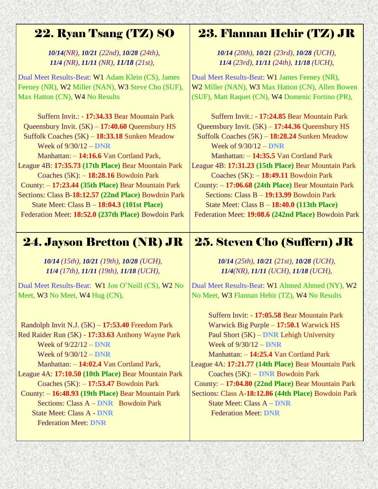## 22. Ryan Tsang (TZ) SO

 *10/14(NR), 10/21 (22nd), 10/28 (24th), 11/4 (NR), 11/11 (NR), 11/18 (21st),*

Dual Meet Results-Beat: W1 Adam Klein (CS), James Feeney (NR), W2 Miller (NAN), W3 Steve Cho (SUF), Max Hatton (CN), W4 No Results

Suffern Invit.: - **17:34.33** Bear Mountain Park Queensbury Invit. (5K) – **17:40.60** Queensbury HS Suffolk Coaches (5K) – **18:33.18** Sunken Meadow Week of 9/30/12 – **DNR**

Manhattan: – **14:16.6** Van Cortland Park, League 4B: **17:35.73 (17th Place)** Bear Mountain Park

Coaches (5K): – **18:28.16** Bowdoin Park County: – **17:23.44 (35th Place)** Bear Mountain Park

Sections: Class B-**18:12.57 (22nd Place)** Bowdoin Park State Meet: Class B – **18:04.3 (101st Place)** Federation Meet: **18:52.0 (237th Place)** Bowdoin Park

## 24. Jayson Bretton (NR) JR

*10/14 (15th), 10/21 (19th), 10/28 (UCH), 11/4 (17th), 11/11 (19th), 11/18 (UCH),* 

Dual Meet Results-Beat: W1 Jon O'Neill (CS), W2 No Meet, W3 No Meet, W4 Hug (CN),

Randolph Invit N.J. (5K) – **17:53.40** Freedom Park Red Raider Run (5K) - **17:33.63** Anthony Wayne Park Week of 9/22/12 – **DNR** Week of 9/30/12 – **DNR**  Manhattan: – **14:02.4** Van Cortland Park, League 4A: **17:10.50 (10th Place)** Bear Mountain Park Coaches (5K): – **17:53.47** Bowdoin Park County: – **16:48.93 (19th Place)** Bear Mountain Park Sections: Class A – **DNR** Bowdoin Park

State Meet: Class A - **DNR** Federation Meet: **DNR**

## 23. Flannan Hehir (TZ) JR

*10/14 (20th), 10/21 (23rd), 10/28 (UCH), 11/4 (23rd), 11/11 (24th), 11/18 (UCH),*

Dual Meet Results-Beat: W1 James Feeney (NR), W2 Miller (NAN), W3 Max Hatton (CN), Allen Bowen (SUF), Matt Raquet (CN), W4 Domenic Fortino (PR),

Suffern Invit.: - **17:24.85** Bear Mountain Park Queensbury Invit. (5K) – **17:44.36** Queensbury HS Suffolk Coaches (5K) – **18:28.24** Sunken Meadow Week of 9/30/12 – **DNR** Manhattan: – **14:35.5** Van Cortland Park League 4B: **17:31.23 (15th Place)** Bear Mountain Park Coaches (5K): – **18:49.11** Bowdoin Park County: – **17:06.68 (24th Place)** Bear Mountain Park Sections: Class B – **19:13.99** Bowdoin Park State Meet: Class B – **18:40.0 (113th Place)** Federation Meet: **19:08.6 (242nd Place)** Bowdoin Park

## 25. Steven Cho (Suffern) JR

*10/14 (25th), 10/21 (21st), 10/28 (UCH), 11/4(NR), 11/11 (UCH), 11/18 (UCH),*

Dual Meet Results-Beat: W1 Ahmed Ahmed (NY), W2 No Meet, W3 Flannan Hehir (TZ), W4 No Results

Suffern Invit: - **17:05.58** Bear Mountain Park Warwick Big Purple – **17:50.1** Warwick HS Paul Short (5K) – **DNR** Lehigh University Week of 9/30/12 – **DNR**

Manhattan: – **14:25.4** Van Cortland Park League 4A: **17:21.77 (14th Place)** Bear Mountain Park Coaches (5K): – **DNR** Bowdoin Park

County: – **17:04.80 (22nd Place)** Bear Mountain Park Sections: Class A-**18:12.86 (44th Place)** Bowdoin Park State Meet: Class A – **DNR** Federation Meet: **DNR**